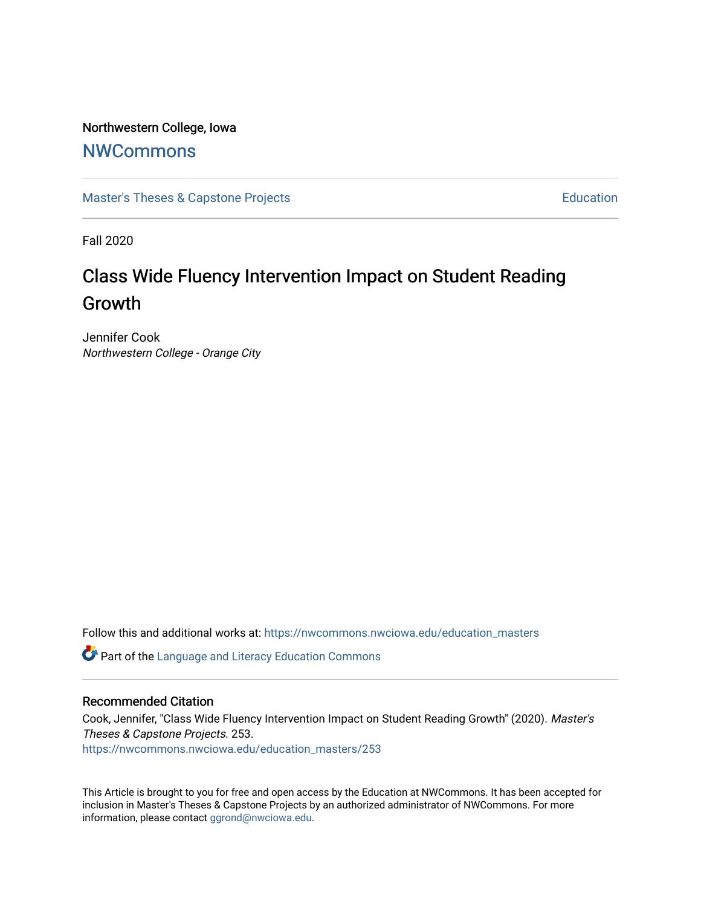### Northwestern College, Iowa

## **[NWCommons](https://nwcommons.nwciowa.edu/)**

[Master's Theses & Capstone Projects](https://nwcommons.nwciowa.edu/education_masters) **Education** Education

Fall 2020

# Class Wide Fluency Intervention Impact on Student Reading Growth

Jennifer Cook Northwestern College - Orange City

Follow this and additional works at: [https://nwcommons.nwciowa.edu/education\\_masters](https://nwcommons.nwciowa.edu/education_masters?utm_source=nwcommons.nwciowa.edu%2Feducation_masters%2F253&utm_medium=PDF&utm_campaign=PDFCoverPages)

Part of the [Language and Literacy Education Commons](http://network.bepress.com/hgg/discipline/1380?utm_source=nwcommons.nwciowa.edu%2Feducation_masters%2F253&utm_medium=PDF&utm_campaign=PDFCoverPages) 

#### Recommended Citation

Cook, Jennifer, "Class Wide Fluency Intervention Impact on Student Reading Growth" (2020). Master's Theses & Capstone Projects. 253. [https://nwcommons.nwciowa.edu/education\\_masters/253](https://nwcommons.nwciowa.edu/education_masters/253?utm_source=nwcommons.nwciowa.edu%2Feducation_masters%2F253&utm_medium=PDF&utm_campaign=PDFCoverPages)

This Article is brought to you for free and open access by the Education at NWCommons. It has been accepted for inclusion in Master's Theses & Capstone Projects by an authorized administrator of NWCommons. For more information, please contact [ggrond@nwciowa.edu](mailto:ggrond@nwciowa.edu).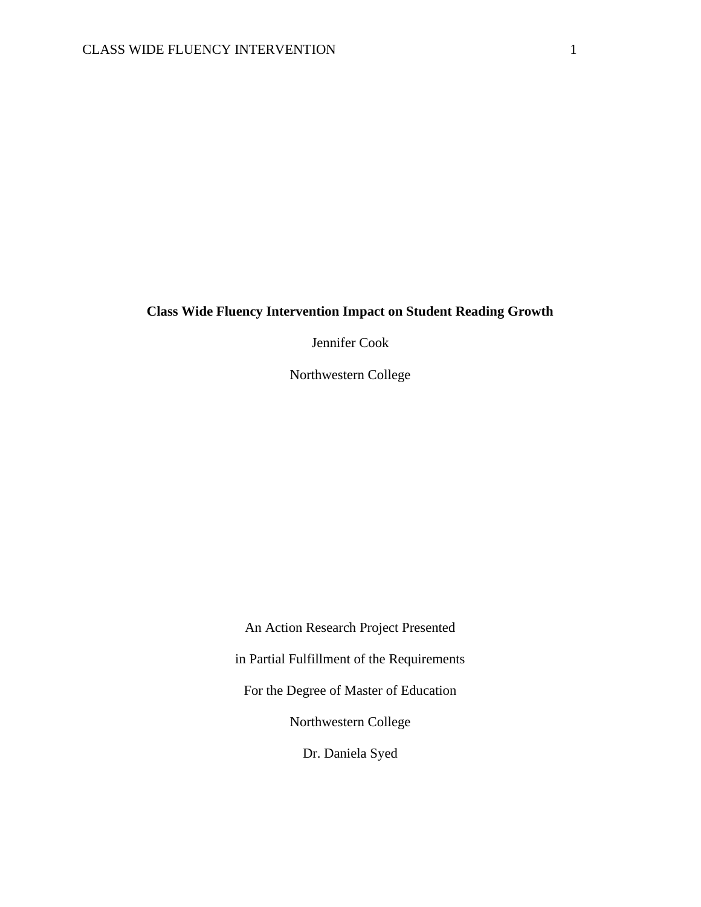### **Class Wide Fluency Intervention Impact on Student Reading Growth**

Jennifer Cook

Northwestern College

An Action Research Project Presented in Partial Fulfillment of the Requirements For the Degree of Master of Education Northwestern College Dr. Daniela Syed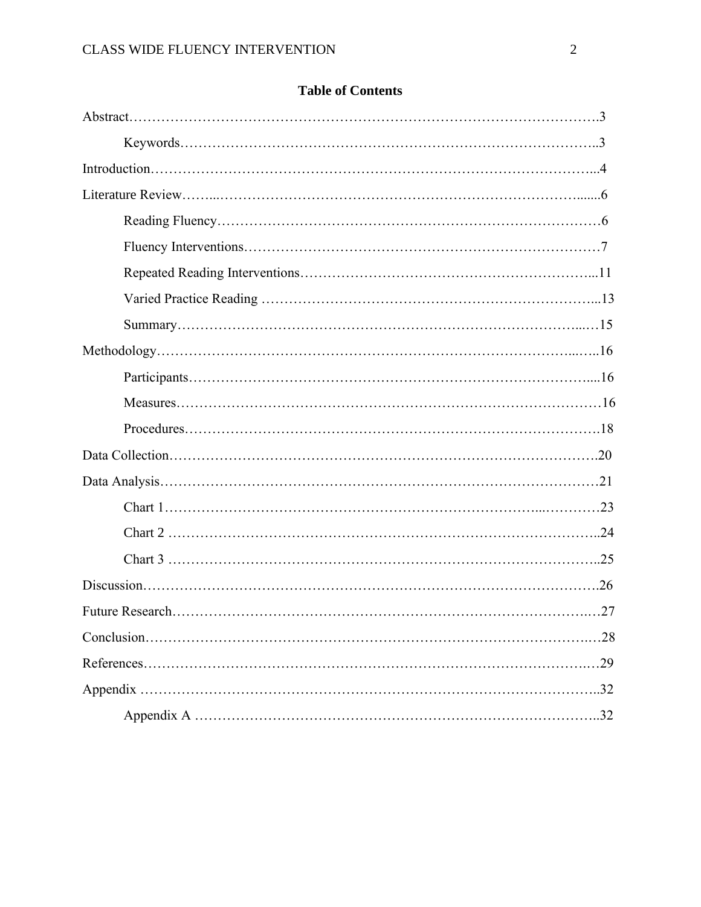| .29 |
|-----|
|     |
|     |

## **Table of Contents**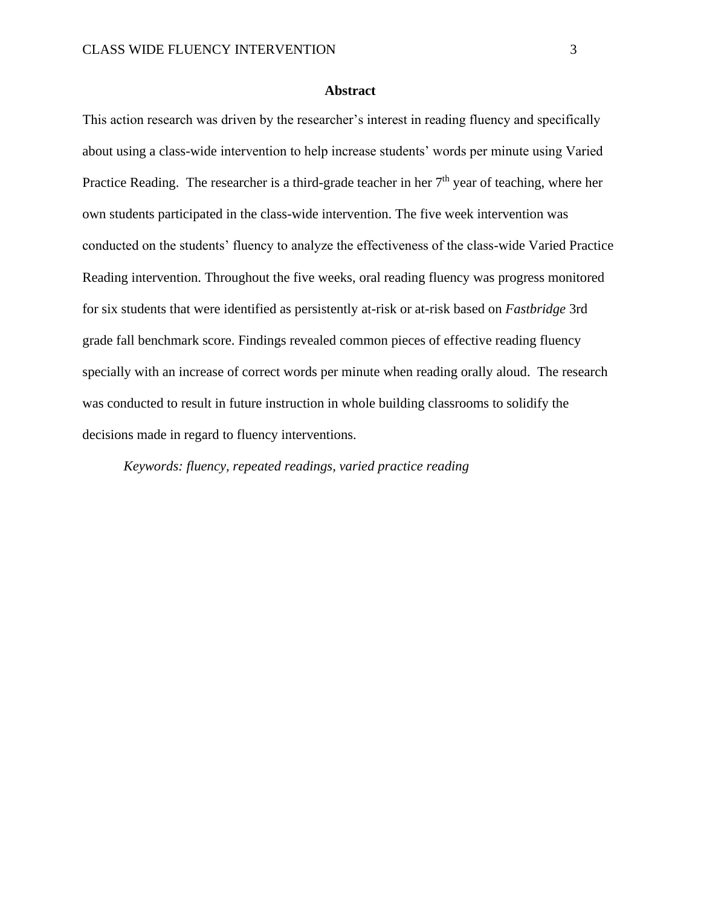#### **Abstract**

This action research was driven by the researcher's interest in reading fluency and specifically about using a class-wide intervention to help increase students' words per minute using Varied Practice Reading. The researcher is a third-grade teacher in her  $7<sup>th</sup>$  year of teaching, where her own students participated in the class-wide intervention. The five week intervention was conducted on the students' fluency to analyze the effectiveness of the class-wide Varied Practice Reading intervention. Throughout the five weeks, oral reading fluency was progress monitored for six students that were identified as persistently at-risk or at-risk based on *Fastbridge* 3rd grade fall benchmark score. Findings revealed common pieces of effective reading fluency specially with an increase of correct words per minute when reading orally aloud. The research was conducted to result in future instruction in whole building classrooms to solidify the decisions made in regard to fluency interventions.

*Keywords: fluency, repeated readings, varied practice reading*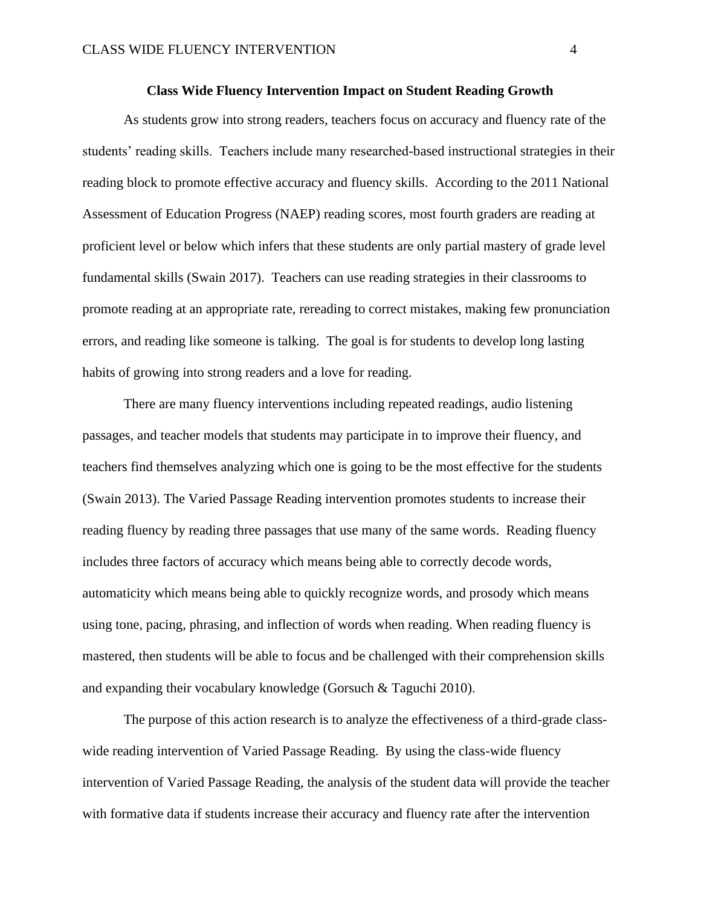#### **Class Wide Fluency Intervention Impact on Student Reading Growth**

As students grow into strong readers, teachers focus on accuracy and fluency rate of the students' reading skills. Teachers include many researched-based instructional strategies in their reading block to promote effective accuracy and fluency skills. According to the 2011 National Assessment of Education Progress (NAEP) reading scores, most fourth graders are reading at proficient level or below which infers that these students are only partial mastery of grade level fundamental skills (Swain 2017). Teachers can use reading strategies in their classrooms to promote reading at an appropriate rate, rereading to correct mistakes, making few pronunciation errors, and reading like someone is talking. The goal is for students to develop long lasting habits of growing into strong readers and a love for reading.

There are many fluency interventions including repeated readings, audio listening passages, and teacher models that students may participate in to improve their fluency, and teachers find themselves analyzing which one is going to be the most effective for the students (Swain 2013). The Varied Passage Reading intervention promotes students to increase their reading fluency by reading three passages that use many of the same words. Reading fluency includes three factors of accuracy which means being able to correctly decode words, automaticity which means being able to quickly recognize words, and prosody which means using tone, pacing, phrasing, and inflection of words when reading. When reading fluency is mastered, then students will be able to focus and be challenged with their comprehension skills and expanding their vocabulary knowledge (Gorsuch & Taguchi 2010).

The purpose of this action research is to analyze the effectiveness of a third-grade classwide reading intervention of Varied Passage Reading. By using the class-wide fluency intervention of Varied Passage Reading, the analysis of the student data will provide the teacher with formative data if students increase their accuracy and fluency rate after the intervention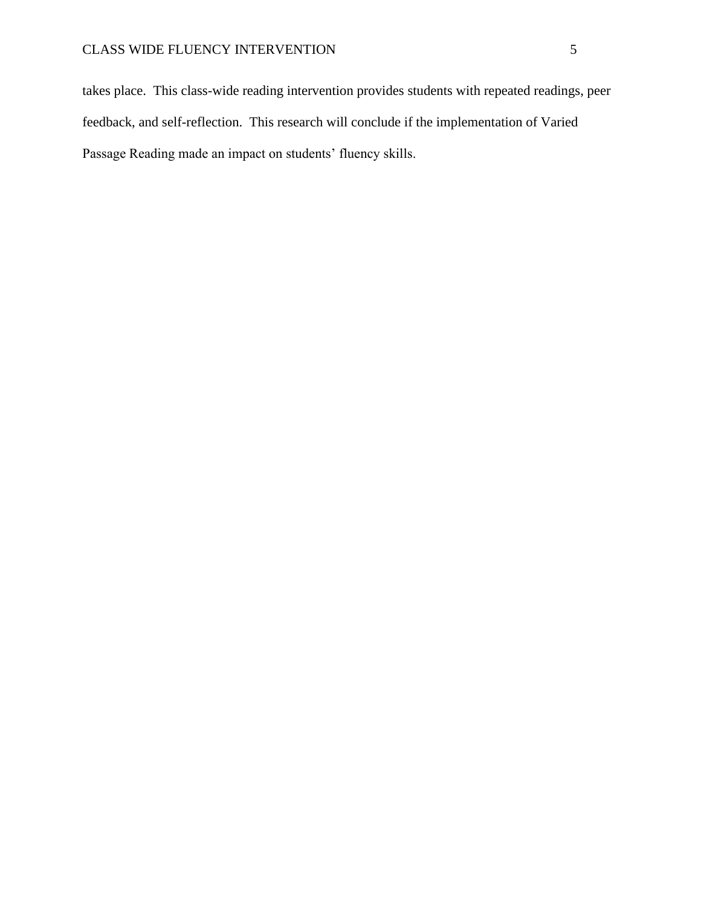takes place. This class-wide reading intervention provides students with repeated readings, peer feedback, and self-reflection. This research will conclude if the implementation of Varied Passage Reading made an impact on students' fluency skills.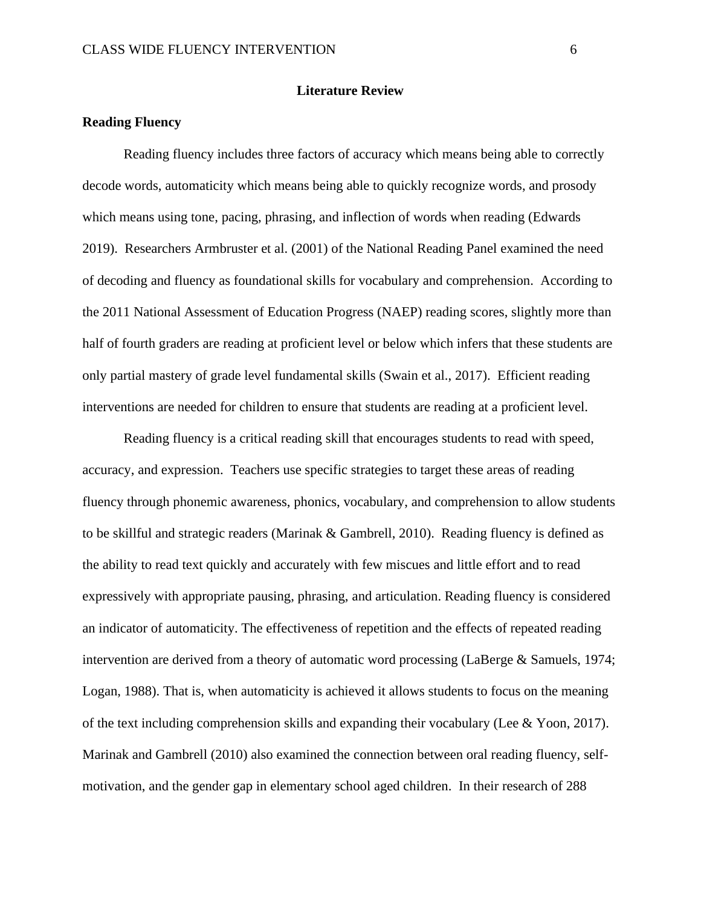#### **Literature Review**

#### **Reading Fluency**

 Reading fluency includes three factors of accuracy which means being able to correctly decode words, automaticity which means being able to quickly recognize words, and prosody which means using tone, pacing, phrasing, and inflection of words when reading (Edwards 2019). Researchers Armbruster et al. (2001) of the National Reading Panel examined the need of decoding and fluency as foundational skills for vocabulary and comprehension. According to the 2011 National Assessment of Education Progress (NAEP) reading scores, slightly more than half of fourth graders are reading at proficient level or below which infers that these students are only partial mastery of grade level fundamental skills (Swain et al., 2017). Efficient reading interventions are needed for children to ensure that students are reading at a proficient level.

 Reading fluency is a critical reading skill that encourages students to read with speed, accuracy, and expression. Teachers use specific strategies to target these areas of reading fluency through phonemic awareness, phonics, vocabulary, and comprehension to allow students to be skillful and strategic readers (Marinak & Gambrell, 2010). Reading fluency is defined as the ability to read text quickly and accurately with few miscues and little effort and to read expressively with appropriate pausing, phrasing, and articulation. Reading fluency is considered an indicator of automaticity. The effectiveness of repetition and the effects of repeated reading intervention are derived from a theory of automatic word processing (LaBerge & Samuels, 1974; Logan, 1988). That is, when automaticity is achieved it allows students to focus on the meaning of the text including comprehension skills and expanding their vocabulary (Lee & Yoon, 2017). Marinak and Gambrell (2010) also examined the connection between oral reading fluency, selfmotivation, and the gender gap in elementary school aged children. In their research of 288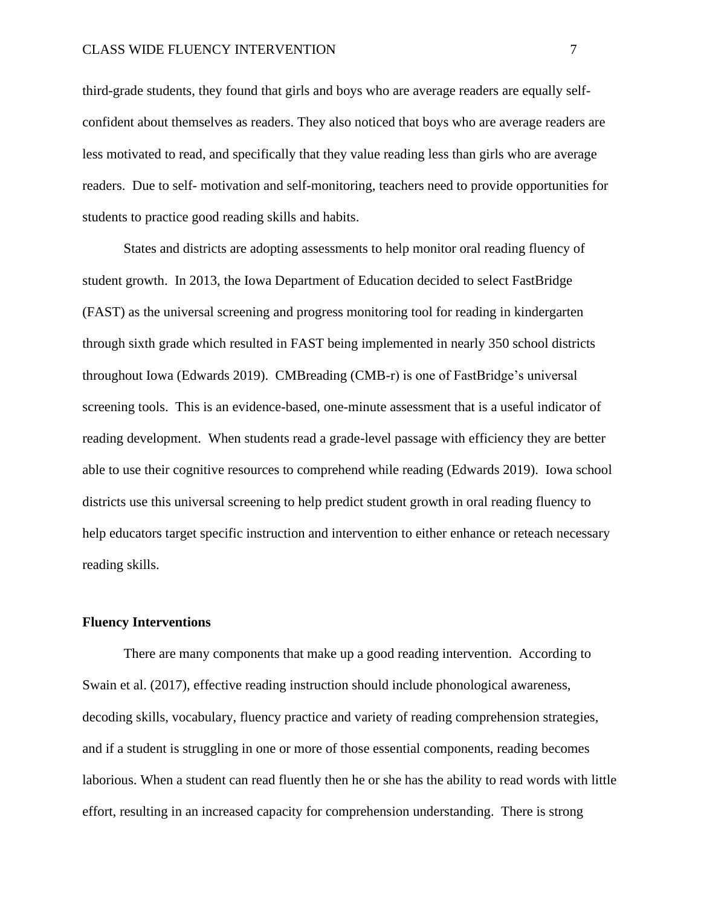third-grade students, they found that girls and boys who are average readers are equally selfconfident about themselves as readers. They also noticed that boys who are average readers are less motivated to read, and specifically that they value reading less than girls who are average readers. Due to self- motivation and self-monitoring, teachers need to provide opportunities for students to practice good reading skills and habits.

States and districts are adopting assessments to help monitor oral reading fluency of student growth. In 2013, the Iowa Department of Education decided to select FastBridge (FAST) as the universal screening and progress monitoring tool for reading in kindergarten through sixth grade which resulted in FAST being implemented in nearly 350 school districts throughout Iowa (Edwards 2019). CMBreading (CMB-r) is one of FastBridge's universal screening tools. This is an evidence-based, one-minute assessment that is a useful indicator of reading development. When students read a grade-level passage with efficiency they are better able to use their cognitive resources to comprehend while reading (Edwards 2019). Iowa school districts use this universal screening to help predict student growth in oral reading fluency to help educators target specific instruction and intervention to either enhance or reteach necessary reading skills.

#### **Fluency Interventions**

 There are many components that make up a good reading intervention. According to Swain et al. (2017), effective reading instruction should include phonological awareness, decoding skills, vocabulary, fluency practice and variety of reading comprehension strategies, and if a student is struggling in one or more of those essential components, reading becomes laborious. When a student can read fluently then he or she has the ability to read words with little effort, resulting in an increased capacity for comprehension understanding. There is strong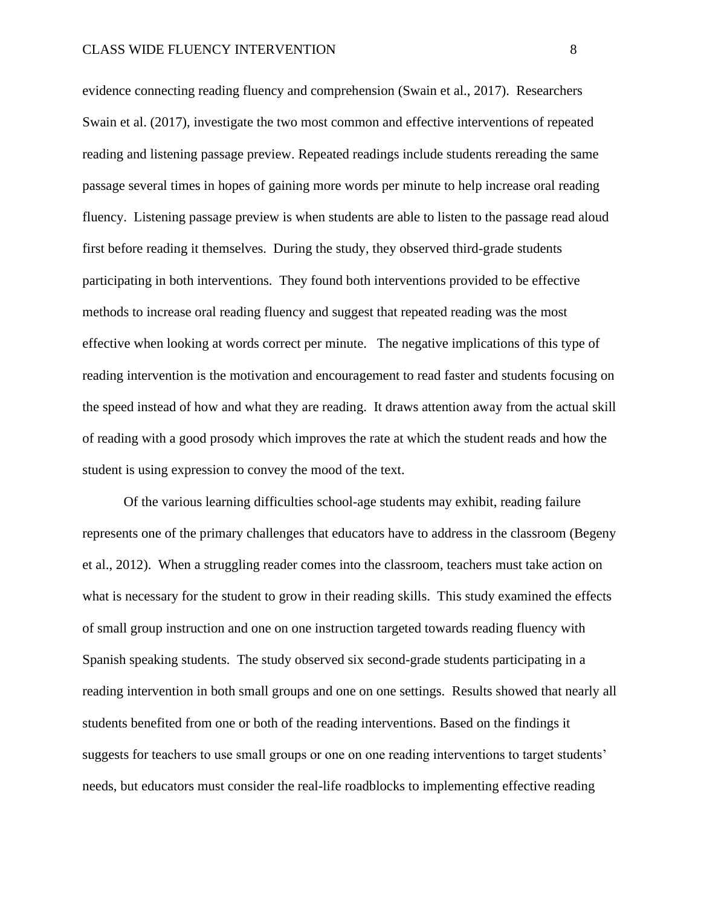evidence connecting reading fluency and comprehension (Swain et al., 2017). Researchers Swain et al. (2017), investigate the two most common and effective interventions of repeated reading and listening passage preview. Repeated readings include students rereading the same passage several times in hopes of gaining more words per minute to help increase oral reading fluency. Listening passage preview is when students are able to listen to the passage read aloud first before reading it themselves. During the study, they observed third-grade students participating in both interventions. They found both interventions provided to be effective methods to increase oral reading fluency and suggest that repeated reading was the most effective when looking at words correct per minute. The negative implications of this type of reading intervention is the motivation and encouragement to read faster and students focusing on the speed instead of how and what they are reading. It draws attention away from the actual skill of reading with a good prosody which improves the rate at which the student reads and how the student is using expression to convey the mood of the text.

Of the various learning difficulties school-age students may exhibit, reading failure represents one of the primary challenges that educators have to address in the classroom (Begeny et al., 2012). When a struggling reader comes into the classroom, teachers must take action on what is necessary for the student to grow in their reading skills. This study examined the effects of small group instruction and one on one instruction targeted towards reading fluency with Spanish speaking students. The study observed six second-grade students participating in a reading intervention in both small groups and one on one settings. Results showed that nearly all students benefited from one or both of the reading interventions. Based on the findings it suggests for teachers to use small groups or one on one reading interventions to target students' needs, but educators must consider the real-life roadblocks to implementing effective reading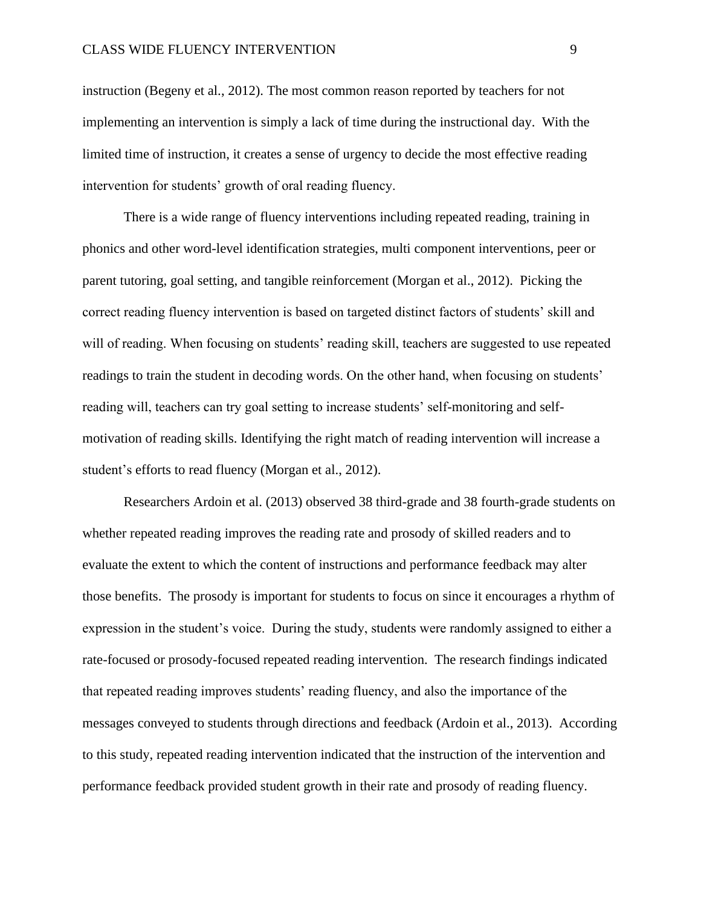instruction (Begeny et al., 2012). The most common reason reported by teachers for not implementing an intervention is simply a lack of time during the instructional day. With the limited time of instruction, it creates a sense of urgency to decide the most effective reading intervention for students' growth of oral reading fluency.

There is a wide range of fluency interventions including repeated reading, training in phonics and other word-level identification strategies, multi component interventions, peer or parent tutoring, goal setting, and tangible reinforcement (Morgan et al., 2012). Picking the correct reading fluency intervention is based on targeted distinct factors of students' skill and will of reading. When focusing on students' reading skill, teachers are suggested to use repeated readings to train the student in decoding words. On the other hand, when focusing on students' reading will, teachers can try goal setting to increase students' self-monitoring and selfmotivation of reading skills. Identifying the right match of reading intervention will increase a student's efforts to read fluency (Morgan et al., 2012).

 Researchers Ardoin et al. (2013) observed 38 third-grade and 38 fourth-grade students on whether repeated reading improves the reading rate and prosody of skilled readers and to evaluate the extent to which the content of instructions and performance feedback may alter those benefits. The prosody is important for students to focus on since it encourages a rhythm of expression in the student's voice. During the study, students were randomly assigned to either a rate-focused or prosody-focused repeated reading intervention. The research findings indicated that repeated reading improves students' reading fluency, and also the importance of the messages conveyed to students through directions and feedback (Ardoin et al., 2013). According to this study, repeated reading intervention indicated that the instruction of the intervention and performance feedback provided student growth in their rate and prosody of reading fluency.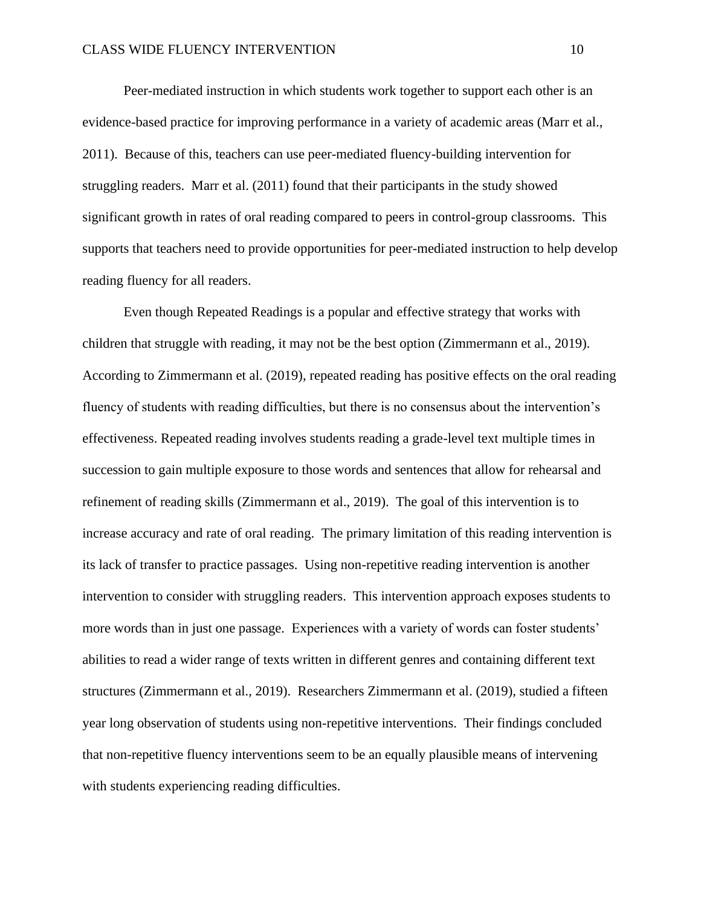Peer-mediated instruction in which students work together to support each other is an evidence-based practice for improving performance in a variety of academic areas (Marr et al., 2011). Because of this, teachers can use peer-mediated fluency-building intervention for struggling readers. Marr et al. (2011) found that their participants in the study showed significant growth in rates of oral reading compared to peers in control-group classrooms. This supports that teachers need to provide opportunities for peer-mediated instruction to help develop reading fluency for all readers.

 Even though Repeated Readings is a popular and effective strategy that works with children that struggle with reading, it may not be the best option (Zimmermann et al., 2019). According to Zimmermann et al. (2019), repeated reading has positive effects on the oral reading fluency of students with reading difficulties, but there is no consensus about the intervention's effectiveness. Repeated reading involves students reading a grade-level text multiple times in succession to gain multiple exposure to those words and sentences that allow for rehearsal and refinement of reading skills (Zimmermann et al., 2019). The goal of this intervention is to increase accuracy and rate of oral reading. The primary limitation of this reading intervention is its lack of transfer to practice passages. Using non-repetitive reading intervention is another intervention to consider with struggling readers. This intervention approach exposes students to more words than in just one passage. Experiences with a variety of words can foster students' abilities to read a wider range of texts written in different genres and containing different text structures (Zimmermann et al., 2019). Researchers Zimmermann et al. (2019), studied a fifteen year long observation of students using non-repetitive interventions. Their findings concluded that non-repetitive fluency interventions seem to be an equally plausible means of intervening with students experiencing reading difficulties.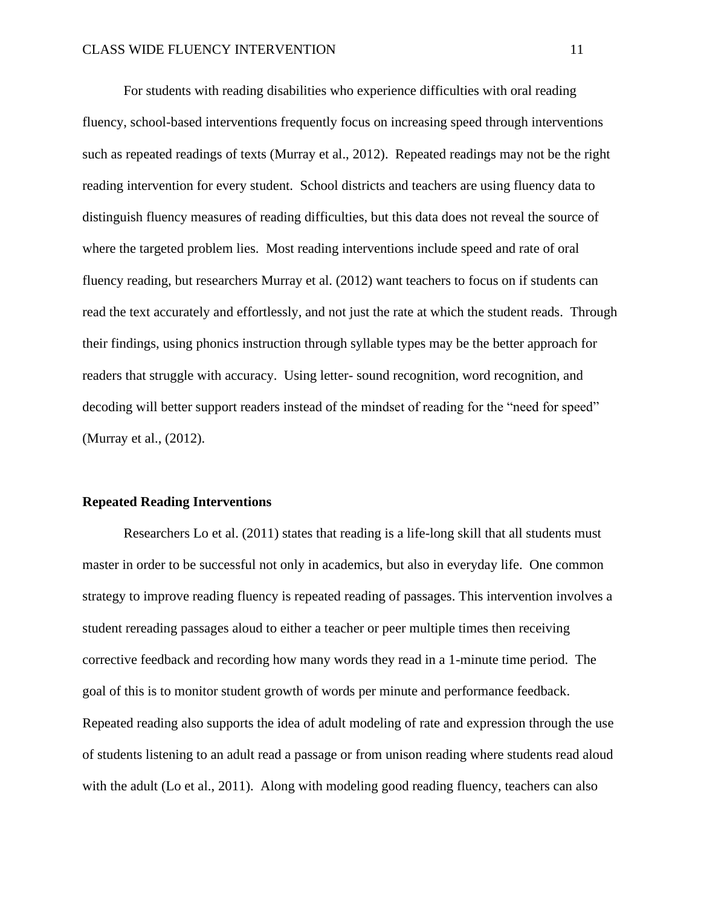For students with reading disabilities who experience difficulties with oral reading fluency, school-based interventions frequently focus on increasing speed through interventions such as repeated readings of texts (Murray et al., 2012). Repeated readings may not be the right reading intervention for every student. School districts and teachers are using fluency data to distinguish fluency measures of reading difficulties, but this data does not reveal the source of where the targeted problem lies. Most reading interventions include speed and rate of oral fluency reading, but researchers Murray et al. (2012) want teachers to focus on if students can read the text accurately and effortlessly, and not just the rate at which the student reads. Through their findings, using phonics instruction through syllable types may be the better approach for readers that struggle with accuracy. Using letter- sound recognition, word recognition, and decoding will better support readers instead of the mindset of reading for the "need for speed" (Murray et al., (2012).

#### **Repeated Reading Interventions**

 Researchers Lo et al. (2011) states that reading is a life-long skill that all students must master in order to be successful not only in academics, but also in everyday life. One common strategy to improve reading fluency is repeated reading of passages. This intervention involves a student rereading passages aloud to either a teacher or peer multiple times then receiving corrective feedback and recording how many words they read in a 1-minute time period. The goal of this is to monitor student growth of words per minute and performance feedback. Repeated reading also supports the idea of adult modeling of rate and expression through the use of students listening to an adult read a passage or from unison reading where students read aloud with the adult (Lo et al., 2011). Along with modeling good reading fluency, teachers can also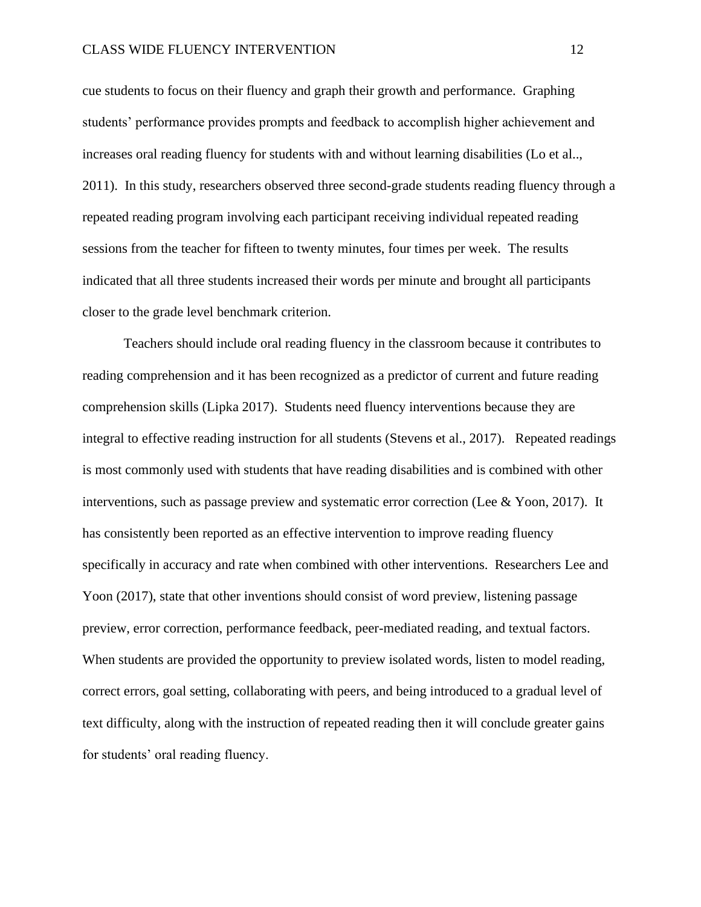cue students to focus on their fluency and graph their growth and performance. Graphing students' performance provides prompts and feedback to accomplish higher achievement and increases oral reading fluency for students with and without learning disabilities (Lo et al.., 2011). In this study, researchers observed three second-grade students reading fluency through a repeated reading program involving each participant receiving individual repeated reading sessions from the teacher for fifteen to twenty minutes, four times per week. The results indicated that all three students increased their words per minute and brought all participants closer to the grade level benchmark criterion.

Teachers should include oral reading fluency in the classroom because it contributes to reading comprehension and it has been recognized as a predictor of current and future reading comprehension skills (Lipka 2017). Students need fluency interventions because they are integral to effective reading instruction for all students (Stevens et al., 2017). Repeated readings is most commonly used with students that have reading disabilities and is combined with other interventions, such as passage preview and systematic error correction (Lee & Yoon, 2017). It has consistently been reported as an effective intervention to improve reading fluency specifically in accuracy and rate when combined with other interventions. Researchers Lee and Yoon (2017), state that other inventions should consist of word preview, listening passage preview, error correction, performance feedback, peer-mediated reading, and textual factors. When students are provided the opportunity to preview isolated words, listen to model reading, correct errors, goal setting, collaborating with peers, and being introduced to a gradual level of text difficulty, along with the instruction of repeated reading then it will conclude greater gains for students' oral reading fluency.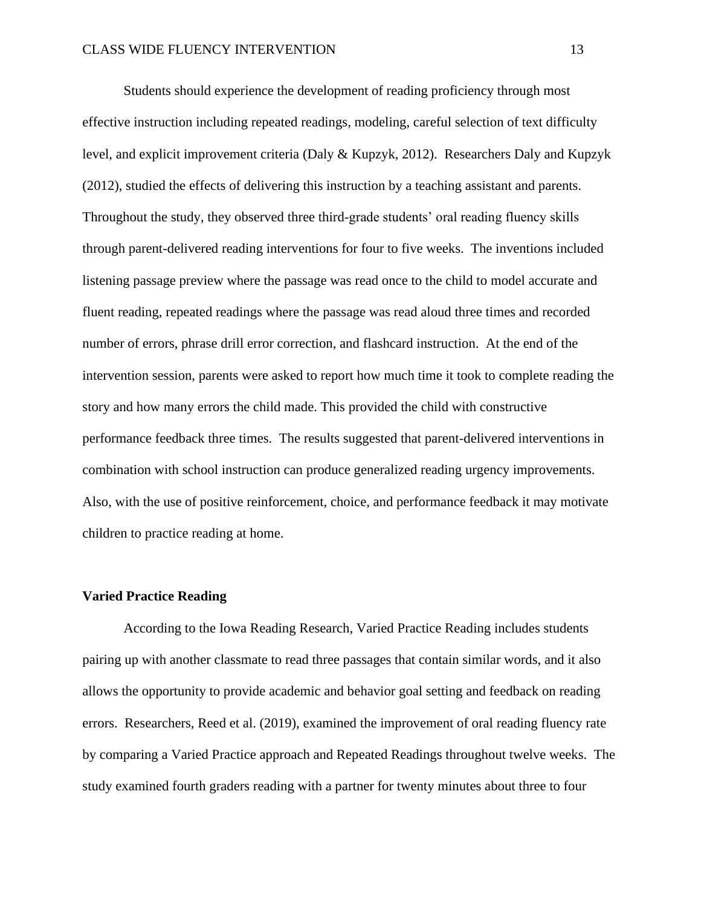Students should experience the development of reading proficiency through most effective instruction including repeated readings, modeling, careful selection of text difficulty level, and explicit improvement criteria (Daly & Kupzyk, 2012). Researchers Daly and Kupzyk (2012), studied the effects of delivering this instruction by a teaching assistant and parents. Throughout the study, they observed three third-grade students' oral reading fluency skills through parent-delivered reading interventions for four to five weeks. The inventions included listening passage preview where the passage was read once to the child to model accurate and fluent reading, repeated readings where the passage was read aloud three times and recorded number of errors, phrase drill error correction, and flashcard instruction. At the end of the intervention session, parents were asked to report how much time it took to complete reading the story and how many errors the child made. This provided the child with constructive performance feedback three times. The results suggested that parent-delivered interventions in combination with school instruction can produce generalized reading urgency improvements. Also, with the use of positive reinforcement, choice, and performance feedback it may motivate children to practice reading at home.

#### **Varied Practice Reading**

According to the Iowa Reading Research, Varied Practice Reading includes students pairing up with another classmate to read three passages that contain similar words, and it also allows the opportunity to provide academic and behavior goal setting and feedback on reading errors. Researchers, Reed et al. (2019), examined the improvement of oral reading fluency rate by comparing a Varied Practice approach and Repeated Readings throughout twelve weeks. The study examined fourth graders reading with a partner for twenty minutes about three to four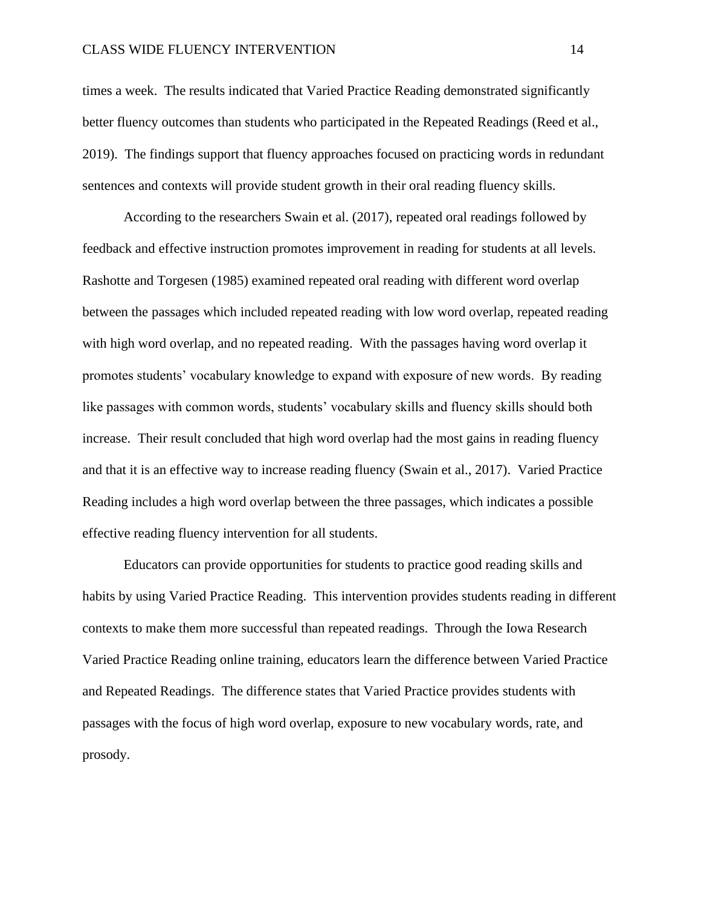times a week. The results indicated that Varied Practice Reading demonstrated significantly better fluency outcomes than students who participated in the Repeated Readings (Reed et al., 2019). The findings support that fluency approaches focused on practicing words in redundant sentences and contexts will provide student growth in their oral reading fluency skills.

 According to the researchers Swain et al. (2017), repeated oral readings followed by feedback and effective instruction promotes improvement in reading for students at all levels. Rashotte and Torgesen (1985) examined repeated oral reading with different word overlap between the passages which included repeated reading with low word overlap, repeated reading with high word overlap, and no repeated reading. With the passages having word overlap it promotes students' vocabulary knowledge to expand with exposure of new words. By reading like passages with common words, students' vocabulary skills and fluency skills should both increase. Their result concluded that high word overlap had the most gains in reading fluency and that it is an effective way to increase reading fluency (Swain et al., 2017). Varied Practice Reading includes a high word overlap between the three passages, which indicates a possible effective reading fluency intervention for all students.

Educators can provide opportunities for students to practice good reading skills and habits by using Varied Practice Reading. This intervention provides students reading in different contexts to make them more successful than repeated readings. Through the Iowa Research Varied Practice Reading online training, educators learn the difference between Varied Practice and Repeated Readings. The difference states that Varied Practice provides students with passages with the focus of high word overlap, exposure to new vocabulary words, rate, and prosody.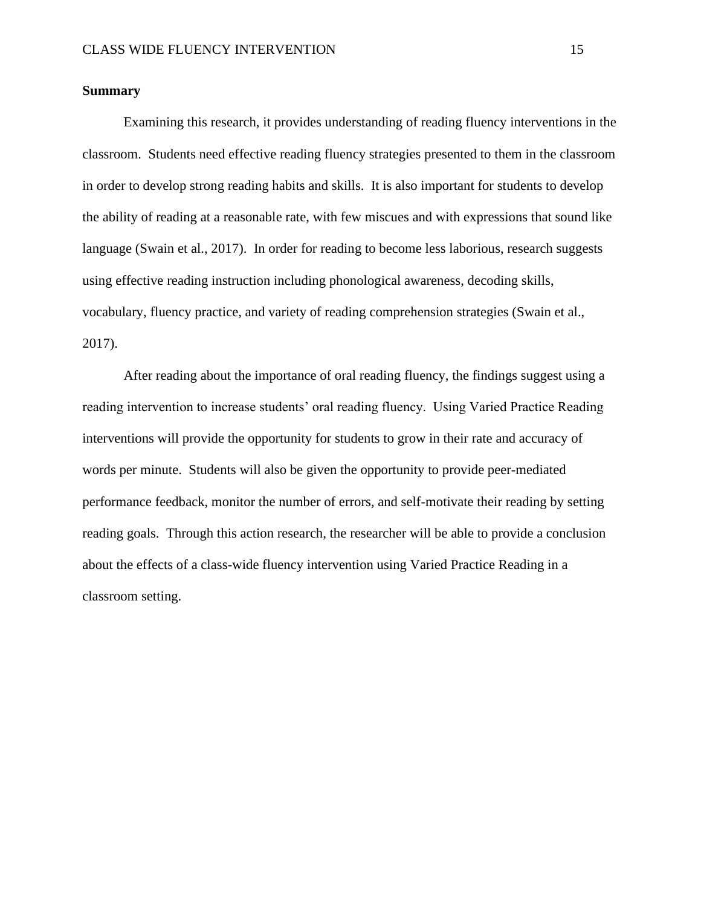#### **Summary**

 Examining this research, it provides understanding of reading fluency interventions in the classroom. Students need effective reading fluency strategies presented to them in the classroom in order to develop strong reading habits and skills. It is also important for students to develop the ability of reading at a reasonable rate, with few miscues and with expressions that sound like language (Swain et al., 2017). In order for reading to become less laborious, research suggests using effective reading instruction including phonological awareness, decoding skills, vocabulary, fluency practice, and variety of reading comprehension strategies (Swain et al., 2017).

 After reading about the importance of oral reading fluency, the findings suggest using a reading intervention to increase students' oral reading fluency. Using Varied Practice Reading interventions will provide the opportunity for students to grow in their rate and accuracy of words per minute. Students will also be given the opportunity to provide peer-mediated performance feedback, monitor the number of errors, and self-motivate their reading by setting reading goals. Through this action research, the researcher will be able to provide a conclusion about the effects of a class-wide fluency intervention using Varied Practice Reading in a classroom setting.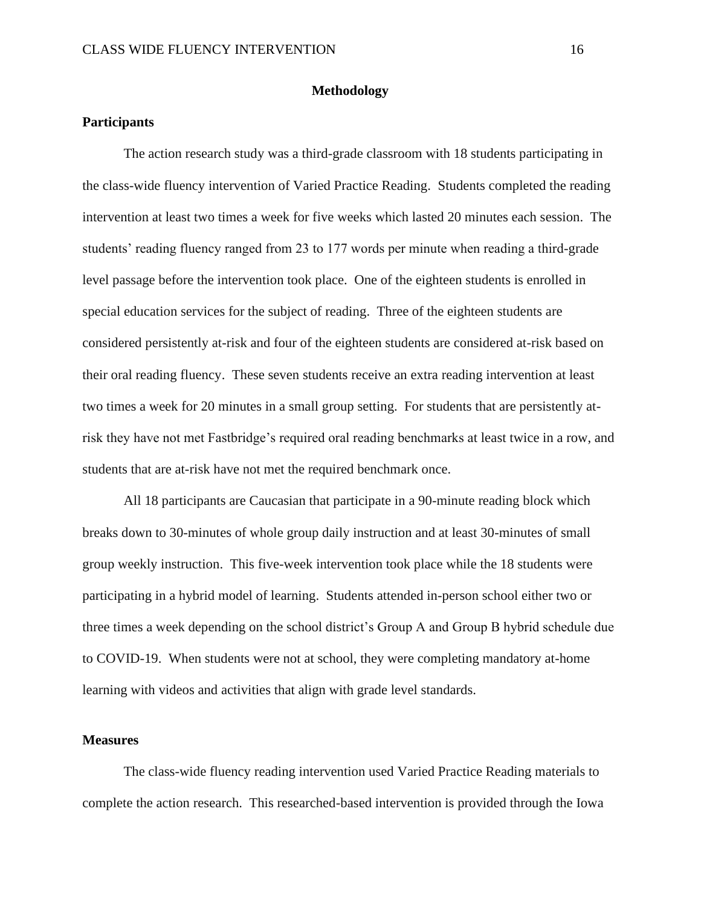#### **Methodology**

#### **Participants**

The action research study was a third-grade classroom with 18 students participating in the class-wide fluency intervention of Varied Practice Reading. Students completed the reading intervention at least two times a week for five weeks which lasted 20 minutes each session. The students' reading fluency ranged from 23 to 177 words per minute when reading a third-grade level passage before the intervention took place. One of the eighteen students is enrolled in special education services for the subject of reading. Three of the eighteen students are considered persistently at-risk and four of the eighteen students are considered at-risk based on their oral reading fluency. These seven students receive an extra reading intervention at least two times a week for 20 minutes in a small group setting. For students that are persistently atrisk they have not met Fastbridge's required oral reading benchmarks at least twice in a row, and students that are at-risk have not met the required benchmark once.

All 18 participants are Caucasian that participate in a 90-minute reading block which breaks down to 30-minutes of whole group daily instruction and at least 30-minutes of small group weekly instruction. This five-week intervention took place while the 18 students were participating in a hybrid model of learning. Students attended in-person school either two or three times a week depending on the school district's Group A and Group B hybrid schedule due to COVID-19. When students were not at school, they were completing mandatory at-home learning with videos and activities that align with grade level standards.

#### **Measures**

The class-wide fluency reading intervention used Varied Practice Reading materials to complete the action research. This researched-based intervention is provided through the Iowa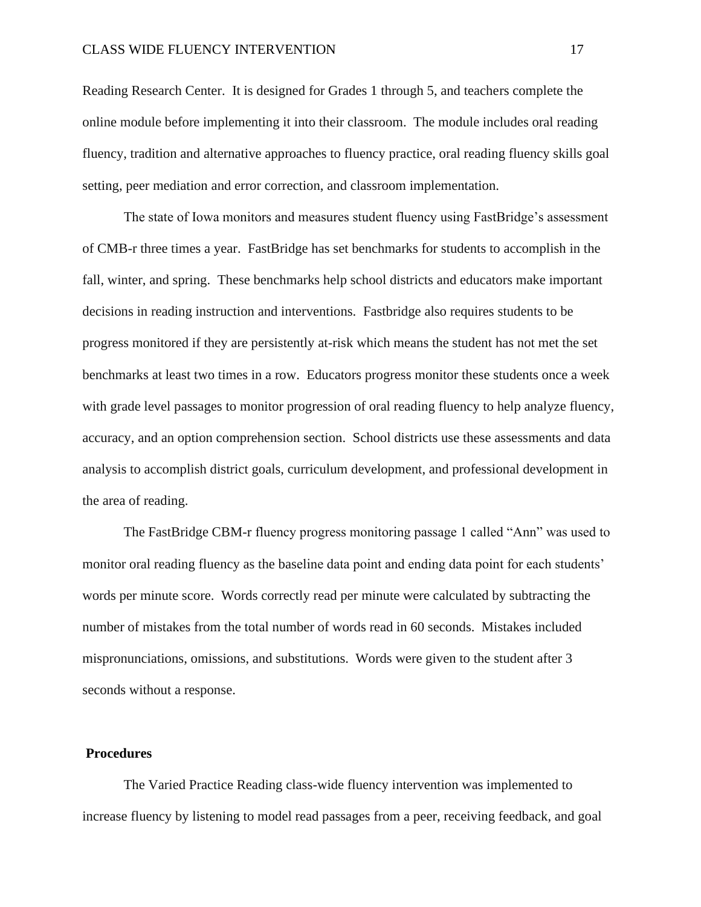Reading Research Center. It is designed for Grades 1 through 5, and teachers complete the online module before implementing it into their classroom. The module includes oral reading fluency, tradition and alternative approaches to fluency practice, oral reading fluency skills goal setting, peer mediation and error correction, and classroom implementation.

The state of Iowa monitors and measures student fluency using FastBridge's assessment of CMB-r three times a year. FastBridge has set benchmarks for students to accomplish in the fall, winter, and spring. These benchmarks help school districts and educators make important decisions in reading instruction and interventions. Fastbridge also requires students to be progress monitored if they are persistently at-risk which means the student has not met the set benchmarks at least two times in a row. Educators progress monitor these students once a week with grade level passages to monitor progression of oral reading fluency to help analyze fluency, accuracy, and an option comprehension section. School districts use these assessments and data analysis to accomplish district goals, curriculum development, and professional development in the area of reading.

The FastBridge CBM-r fluency progress monitoring passage 1 called "Ann" was used to monitor oral reading fluency as the baseline data point and ending data point for each students' words per minute score. Words correctly read per minute were calculated by subtracting the number of mistakes from the total number of words read in 60 seconds. Mistakes included mispronunciations, omissions, and substitutions. Words were given to the student after 3 seconds without a response.

#### **Procedures**

The Varied Practice Reading class-wide fluency intervention was implemented to increase fluency by listening to model read passages from a peer, receiving feedback, and goal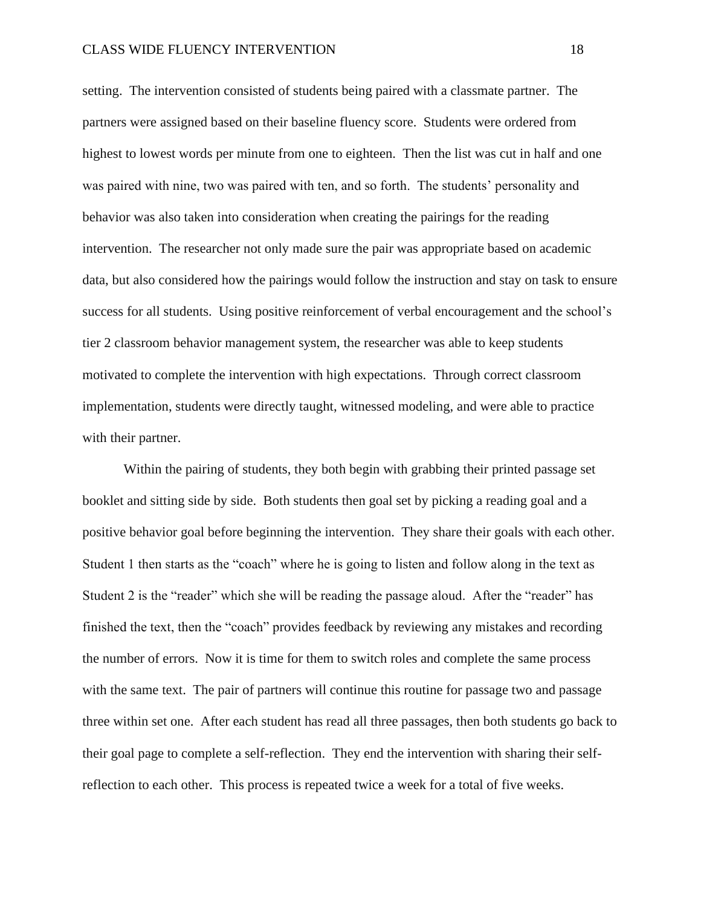setting. The intervention consisted of students being paired with a classmate partner. The partners were assigned based on their baseline fluency score. Students were ordered from highest to lowest words per minute from one to eighteen. Then the list was cut in half and one was paired with nine, two was paired with ten, and so forth. The students' personality and behavior was also taken into consideration when creating the pairings for the reading intervention. The researcher not only made sure the pair was appropriate based on academic data, but also considered how the pairings would follow the instruction and stay on task to ensure success for all students. Using positive reinforcement of verbal encouragement and the school's tier 2 classroom behavior management system, the researcher was able to keep students motivated to complete the intervention with high expectations. Through correct classroom implementation, students were directly taught, witnessed modeling, and were able to practice with their partner.

Within the pairing of students, they both begin with grabbing their printed passage set booklet and sitting side by side. Both students then goal set by picking a reading goal and a positive behavior goal before beginning the intervention. They share their goals with each other. Student 1 then starts as the "coach" where he is going to listen and follow along in the text as Student 2 is the "reader" which she will be reading the passage aloud. After the "reader" has finished the text, then the "coach" provides feedback by reviewing any mistakes and recording the number of errors. Now it is time for them to switch roles and complete the same process with the same text. The pair of partners will continue this routine for passage two and passage three within set one. After each student has read all three passages, then both students go back to their goal page to complete a self-reflection. They end the intervention with sharing their selfreflection to each other. This process is repeated twice a week for a total of five weeks.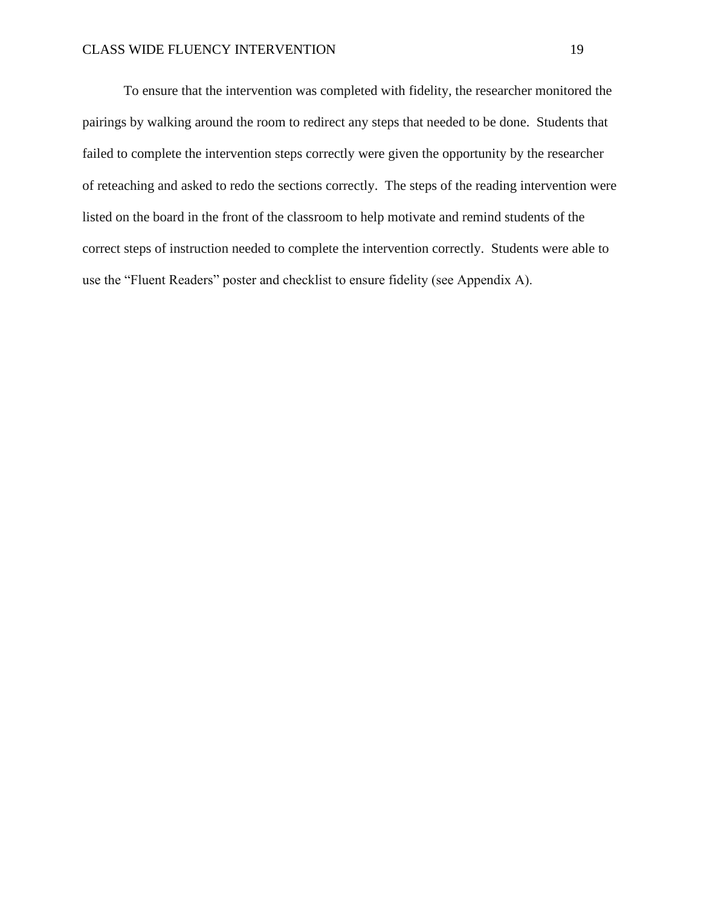To ensure that the intervention was completed with fidelity, the researcher monitored the pairings by walking around the room to redirect any steps that needed to be done. Students that failed to complete the intervention steps correctly were given the opportunity by the researcher of reteaching and asked to redo the sections correctly. The steps of the reading intervention were listed on the board in the front of the classroom to help motivate and remind students of the correct steps of instruction needed to complete the intervention correctly. Students were able to use the "Fluent Readers" poster and checklist to ensure fidelity (see Appendix A).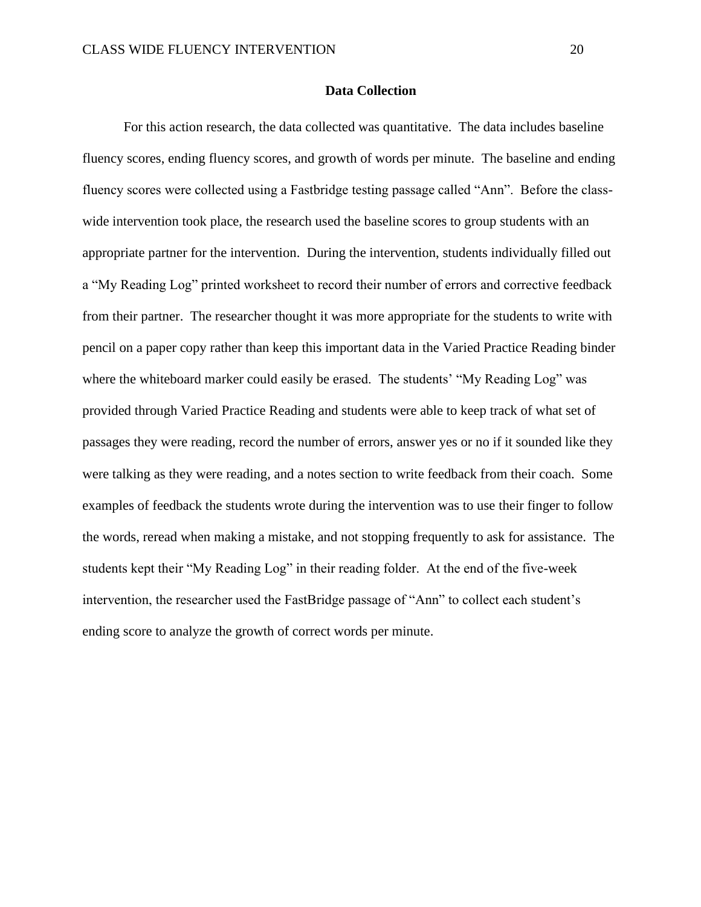#### **Data Collection**

For this action research, the data collected was quantitative. The data includes baseline fluency scores, ending fluency scores, and growth of words per minute. The baseline and ending fluency scores were collected using a Fastbridge testing passage called "Ann". Before the classwide intervention took place, the research used the baseline scores to group students with an appropriate partner for the intervention. During the intervention, students individually filled out a "My Reading Log" printed worksheet to record their number of errors and corrective feedback from their partner. The researcher thought it was more appropriate for the students to write with pencil on a paper copy rather than keep this important data in the Varied Practice Reading binder where the whiteboard marker could easily be erased. The students' "My Reading Log" was provided through Varied Practice Reading and students were able to keep track of what set of passages they were reading, record the number of errors, answer yes or no if it sounded like they were talking as they were reading, and a notes section to write feedback from their coach. Some examples of feedback the students wrote during the intervention was to use their finger to follow the words, reread when making a mistake, and not stopping frequently to ask for assistance. The students kept their "My Reading Log" in their reading folder. At the end of the five-week intervention, the researcher used the FastBridge passage of "Ann" to collect each student's ending score to analyze the growth of correct words per minute.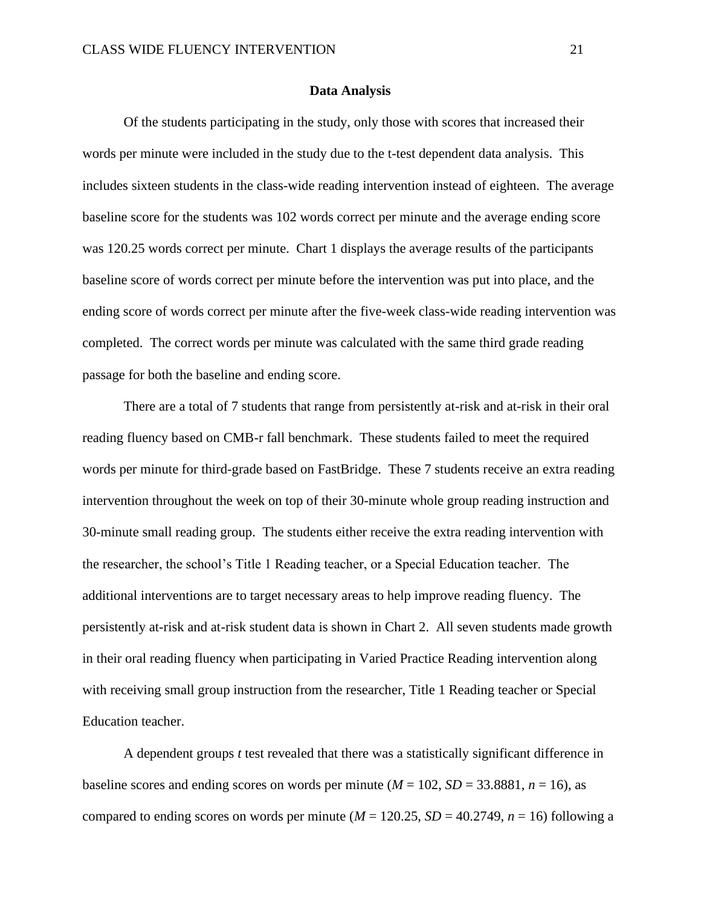#### **Data Analysis**

Of the students participating in the study, only those with scores that increased their words per minute were included in the study due to the t-test dependent data analysis. This includes sixteen students in the class-wide reading intervention instead of eighteen. The average baseline score for the students was 102 words correct per minute and the average ending score was 120.25 words correct per minute. Chart 1 displays the average results of the participants baseline score of words correct per minute before the intervention was put into place, and the ending score of words correct per minute after the five-week class-wide reading intervention was completed. The correct words per minute was calculated with the same third grade reading passage for both the baseline and ending score.

There are a total of 7 students that range from persistently at-risk and at-risk in their oral reading fluency based on CMB-r fall benchmark. These students failed to meet the required words per minute for third-grade based on FastBridge. These 7 students receive an extra reading intervention throughout the week on top of their 30-minute whole group reading instruction and 30-minute small reading group. The students either receive the extra reading intervention with the researcher, the school's Title 1 Reading teacher, or a Special Education teacher. The additional interventions are to target necessary areas to help improve reading fluency. The persistently at-risk and at-risk student data is shown in Chart 2. All seven students made growth in their oral reading fluency when participating in Varied Practice Reading intervention along with receiving small group instruction from the researcher, Title 1 Reading teacher or Special Education teacher.

A dependent groups *t* test revealed that there was a statistically significant difference in baseline scores and ending scores on words per minute ( $M = 102$ ,  $SD = 33.8881$ ,  $n = 16$ ), as compared to ending scores on words per minute ( $M = 120.25$ ,  $SD = 40.2749$ ,  $n = 16$ ) following a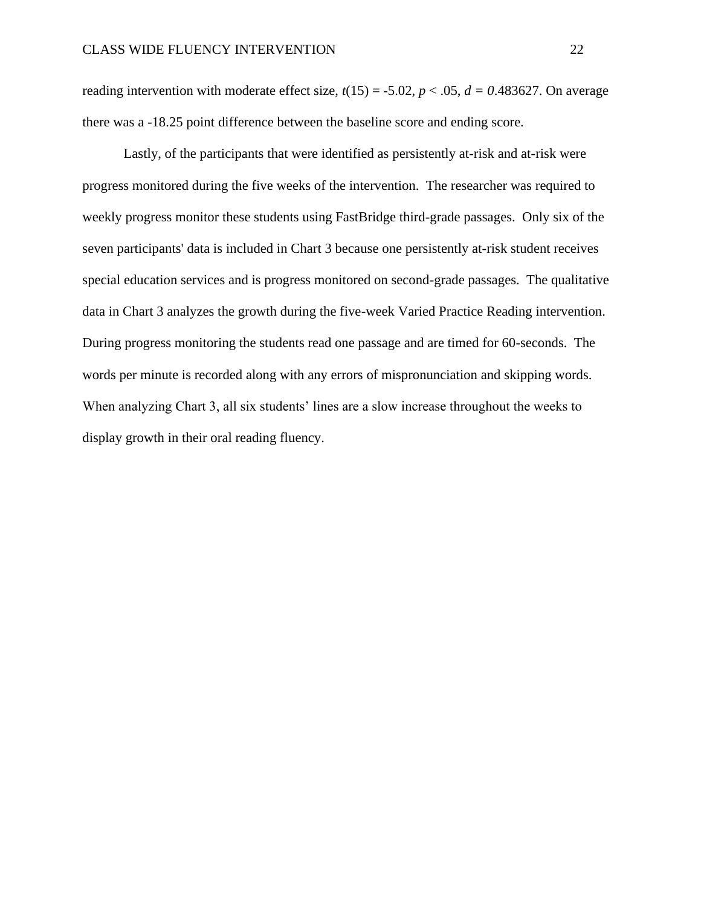reading intervention with moderate effect size,  $t(15) = -5.02$ ,  $p < .05$ ,  $d = 0.483627$ . On average there was a -18.25 point difference between the baseline score and ending score.

Lastly, of the participants that were identified as persistently at-risk and at-risk were progress monitored during the five weeks of the intervention. The researcher was required to weekly progress monitor these students using FastBridge third-grade passages. Only six of the seven participants' data is included in Chart 3 because one persistently at-risk student receives special education services and is progress monitored on second-grade passages. The qualitative data in Chart 3 analyzes the growth during the five-week Varied Practice Reading intervention. During progress monitoring the students read one passage and are timed for 60-seconds. The words per minute is recorded along with any errors of mispronunciation and skipping words. When analyzing Chart 3, all six students' lines are a slow increase throughout the weeks to display growth in their oral reading fluency.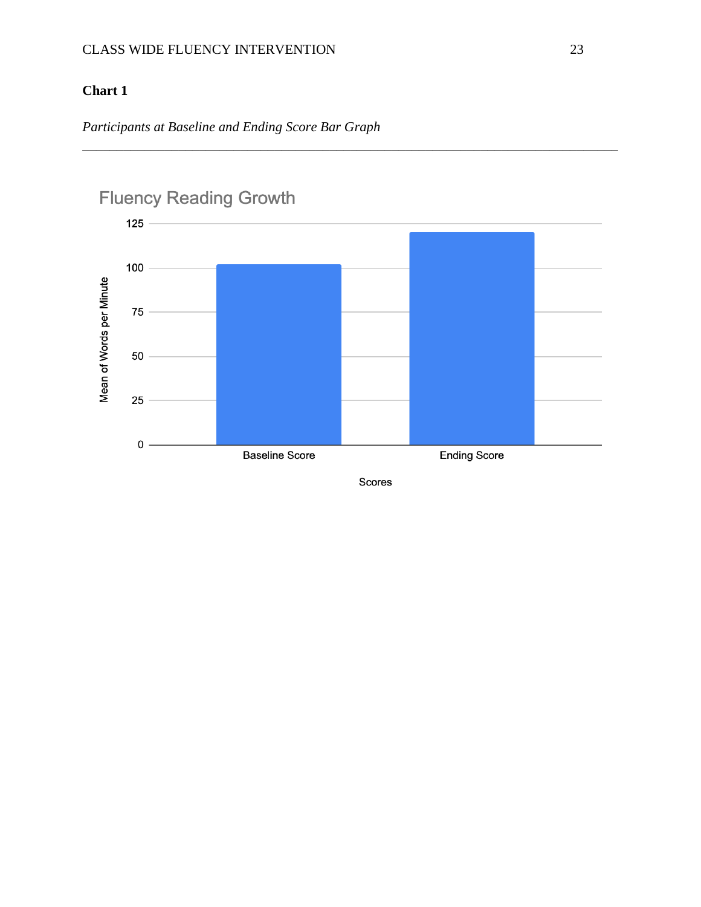# **Chart 1**

*Participants at Baseline and Ending Score Bar Graph* 



\_\_\_\_\_\_\_\_\_\_\_\_\_\_\_\_\_\_\_\_\_\_\_\_\_\_\_\_\_\_\_\_\_\_\_\_\_\_\_\_\_\_\_\_\_\_\_\_\_\_\_\_\_\_\_\_\_\_\_\_\_\_\_\_\_\_\_\_\_\_\_\_\_\_\_\_\_\_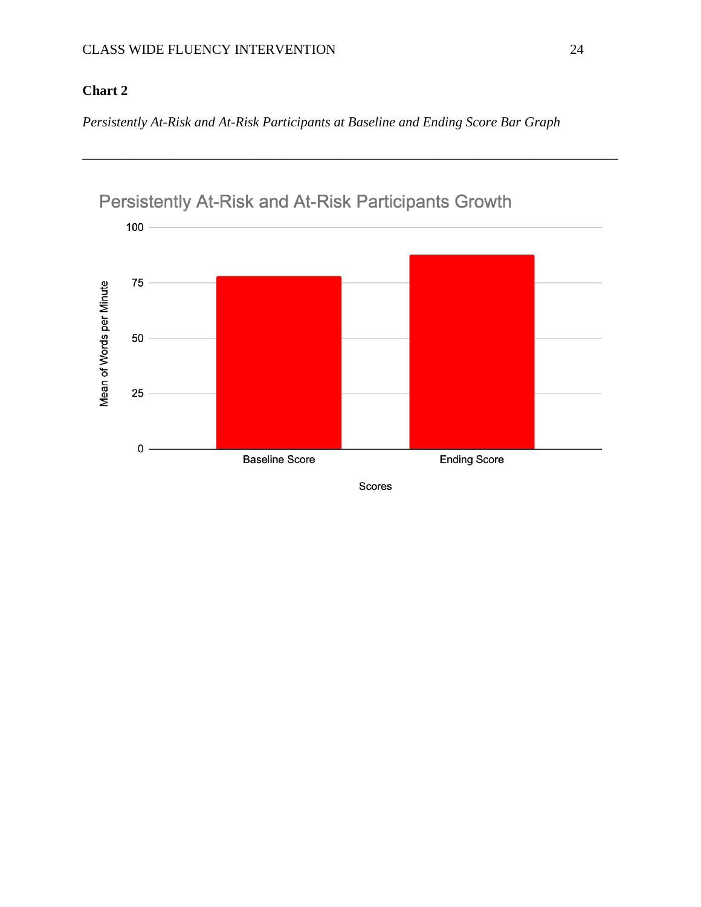# **Chart 2**

*Persistently At-Risk and At-Risk Participants at Baseline and Ending Score Bar Graph*

\_\_\_\_\_\_\_\_\_\_\_\_\_\_\_\_\_\_\_\_\_\_\_\_\_\_\_\_\_\_\_\_\_\_\_\_\_\_\_\_\_\_\_\_\_\_\_\_\_\_\_\_\_\_\_\_\_\_\_\_\_\_\_\_\_\_\_\_\_\_\_\_\_\_\_\_\_\_

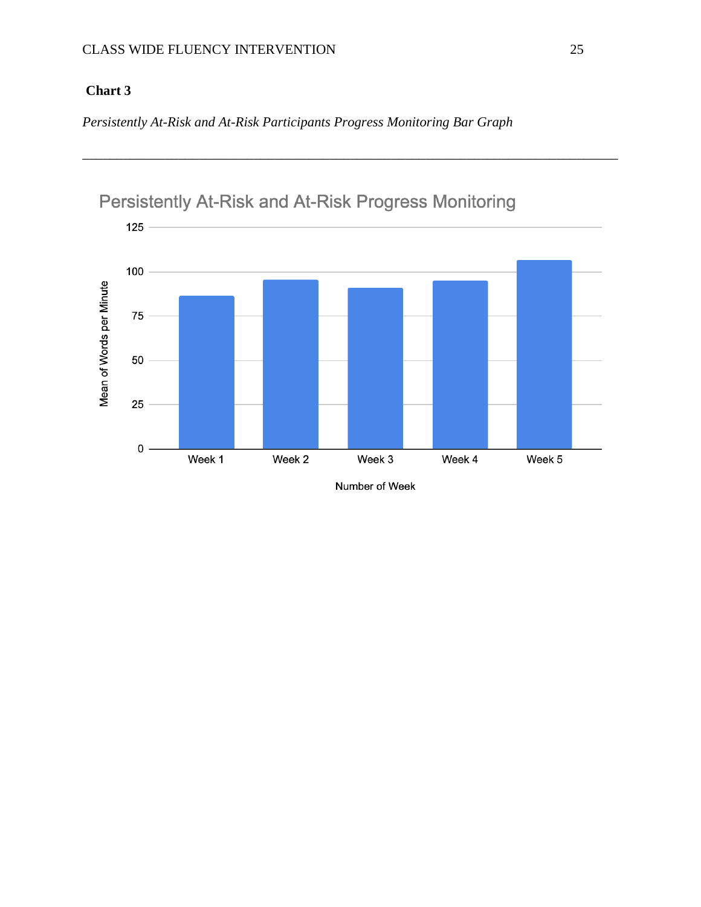# **Chart 3**

*Persistently At-Risk and At-Risk Participants Progress Monitoring Bar Graph*



\_\_\_\_\_\_\_\_\_\_\_\_\_\_\_\_\_\_\_\_\_\_\_\_\_\_\_\_\_\_\_\_\_\_\_\_\_\_\_\_\_\_\_\_\_\_\_\_\_\_\_\_\_\_\_\_\_\_\_\_\_\_\_\_\_\_\_\_\_\_\_\_\_\_\_\_\_\_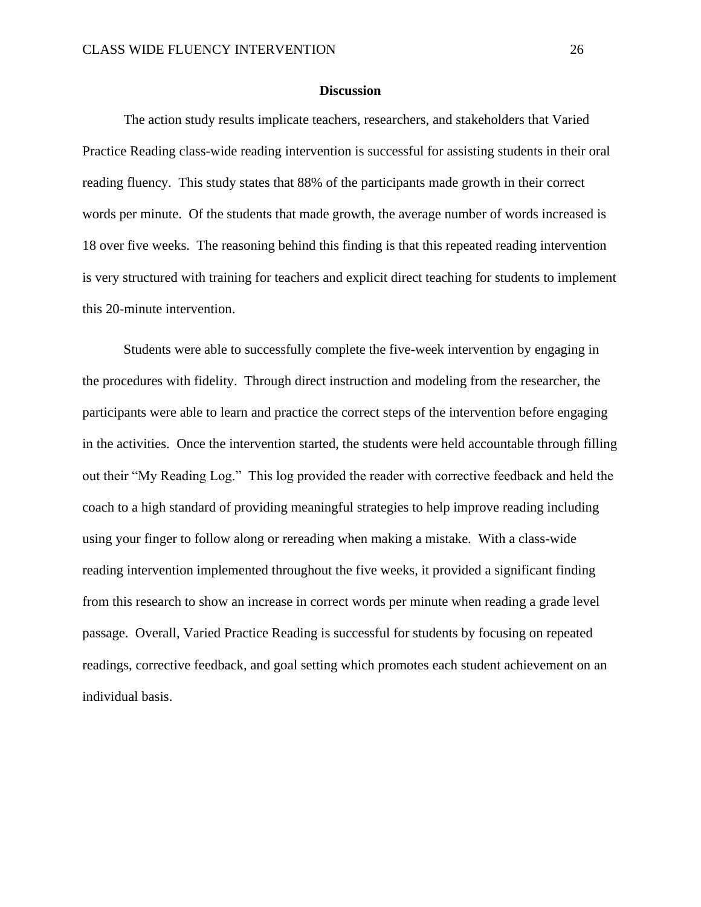#### **Discussion**

The action study results implicate teachers, researchers, and stakeholders that Varied Practice Reading class-wide reading intervention is successful for assisting students in their oral reading fluency. This study states that 88% of the participants made growth in their correct words per minute. Of the students that made growth, the average number of words increased is 18 over five weeks. The reasoning behind this finding is that this repeated reading intervention is very structured with training for teachers and explicit direct teaching for students to implement this 20-minute intervention.

Students were able to successfully complete the five-week intervention by engaging in the procedures with fidelity. Through direct instruction and modeling from the researcher, the participants were able to learn and practice the correct steps of the intervention before engaging in the activities. Once the intervention started, the students were held accountable through filling out their "My Reading Log." This log provided the reader with corrective feedback and held the coach to a high standard of providing meaningful strategies to help improve reading including using your finger to follow along or rereading when making a mistake. With a class-wide reading intervention implemented throughout the five weeks, it provided a significant finding from this research to show an increase in correct words per minute when reading a grade level passage. Overall, Varied Practice Reading is successful for students by focusing on repeated readings, corrective feedback, and goal setting which promotes each student achievement on an individual basis.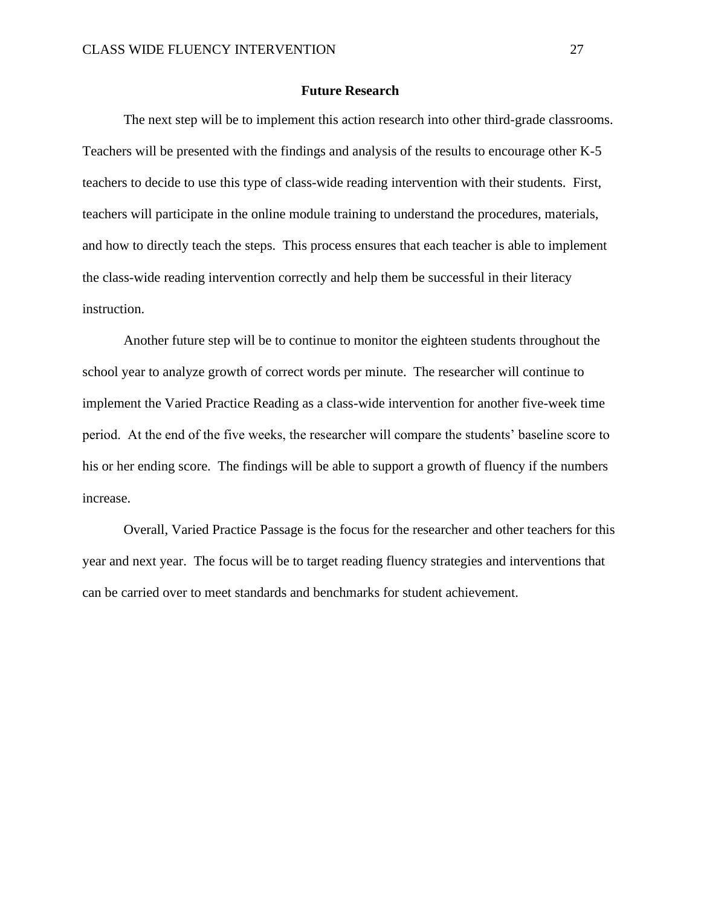#### **Future Research**

The next step will be to implement this action research into other third-grade classrooms. Teachers will be presented with the findings and analysis of the results to encourage other K-5 teachers to decide to use this type of class-wide reading intervention with their students. First, teachers will participate in the online module training to understand the procedures, materials, and how to directly teach the steps. This process ensures that each teacher is able to implement the class-wide reading intervention correctly and help them be successful in their literacy instruction.

Another future step will be to continue to monitor the eighteen students throughout the school year to analyze growth of correct words per minute. The researcher will continue to implement the Varied Practice Reading as a class-wide intervention for another five-week time period. At the end of the five weeks, the researcher will compare the students' baseline score to his or her ending score. The findings will be able to support a growth of fluency if the numbers increase.

Overall, Varied Practice Passage is the focus for the researcher and other teachers for this year and next year. The focus will be to target reading fluency strategies and interventions that can be carried over to meet standards and benchmarks for student achievement.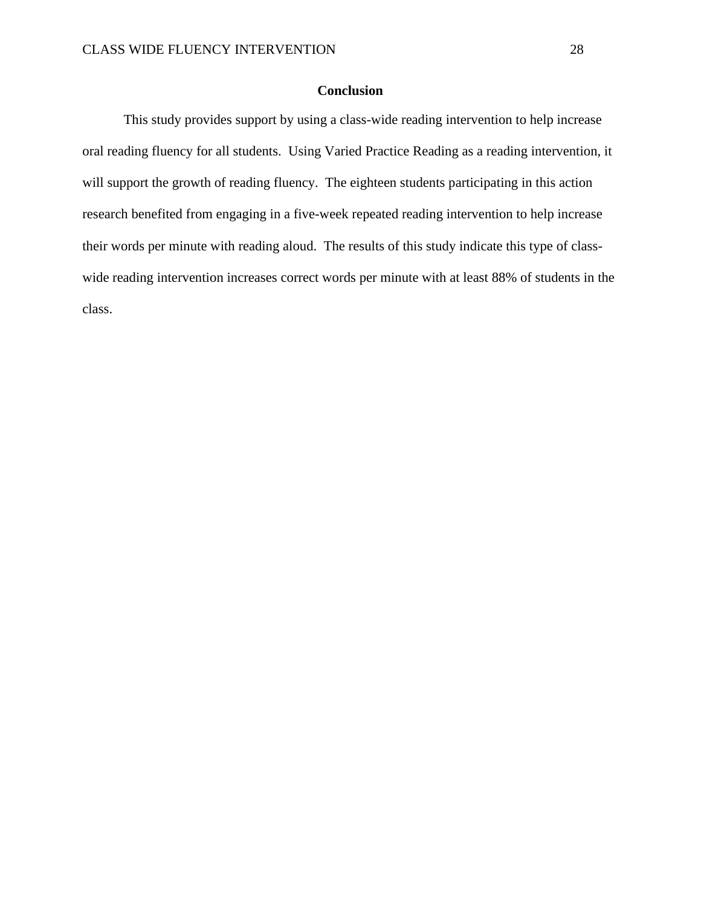### **Conclusion**

This study provides support by using a class-wide reading intervention to help increase oral reading fluency for all students. Using Varied Practice Reading as a reading intervention, it will support the growth of reading fluency. The eighteen students participating in this action research benefited from engaging in a five-week repeated reading intervention to help increase their words per minute with reading aloud. The results of this study indicate this type of classwide reading intervention increases correct words per minute with at least 88% of students in the class.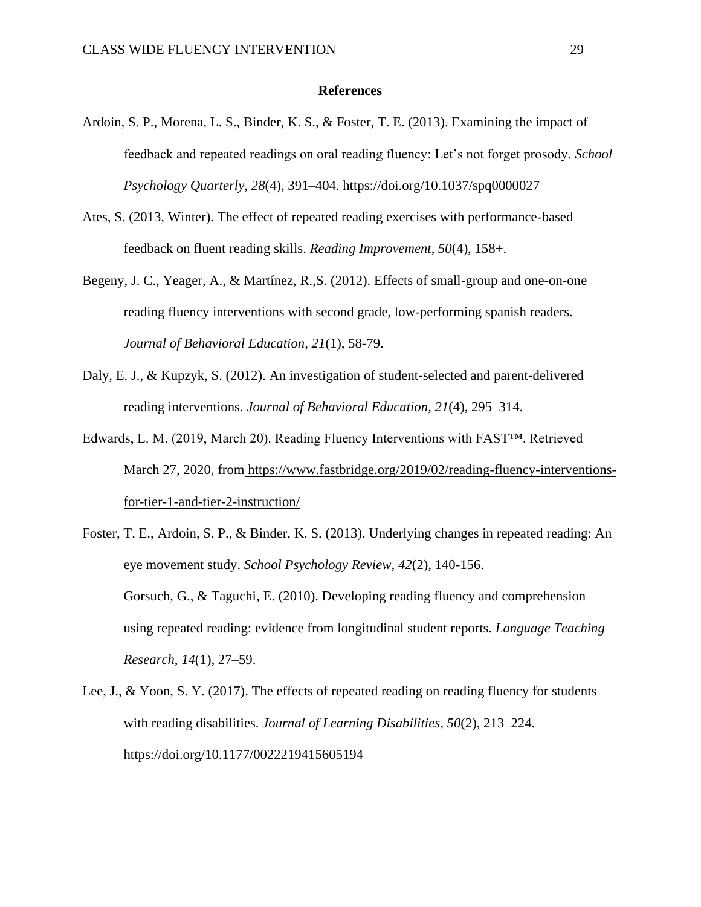#### **References**

- Ardoin, S. P., Morena, L. S., Binder, K. S., & Foster, T. E. (2013). Examining the impact of feedback and repeated readings on oral reading fluency: Let's not forget prosody. *School Psychology Quarterly, 28*(4), 391–404[.](https://doi.apa.org/doi/10.1037/spq0000027) [https://doi.org/10.1037/spq0000027](https://doi.apa.org/doi/10.1037/spq0000027)
- Ates, S. (2013, Winter). The effect of repeated reading exercises with performance-based feedback on fluent reading skills. *Reading Improvement*, *50*(4), 158+.
- Begeny, J. C., Yeager, A., & Martínez, R.,S. (2012). Effects of small-group and one-on-one reading fluency interventions with second grade, low-performing spanish readers. *Journal of Behavioral Education, 21*(1), 58-79.
- Daly, E. J., & Kupzyk, S. (2012). An investigation of student-selected and parent-delivered reading interventions. *Journal of Behavioral Education*, *21*(4), 295–314.
- Edwards, L. M. (2019, March 20). Reading Fluency Interventions with FAST™. Retrieved March 27, 2020, from [https://www.fastbridge.org/2019/02/reading-fluency-interventions](https://www.fastbridge.org/2019/02/reading-fluency-interventions-for-tier-1-and-tier-2-instruction/)[for-tier-1-and-tier-2-instruction/](https://www.fastbridge.org/2019/02/reading-fluency-interventions-for-tier-1-and-tier-2-instruction/)
- Foster, T. E., Ardoin, S. P., & Binder, K. S. (2013). Underlying changes in repeated reading: An eye movement study. *School Psychology Review, 42*(2), 140-156. Gorsuch, G., & Taguchi, E. (2010). Developing reading fluency and comprehension using repeated reading: evidence from longitudinal student reports. *Language Teaching Research*, *14*(1), 27–59.
- Lee, J., & Yoon, S. Y. (2017). The effects of repeated reading on reading fluency for students with reading disabilities. *Journal of Learning Disabilities*, *50*(2), 213–224[.](https://doi.org/10.1177/0022219415605194) <https://doi.org/10.1177/0022219415605194>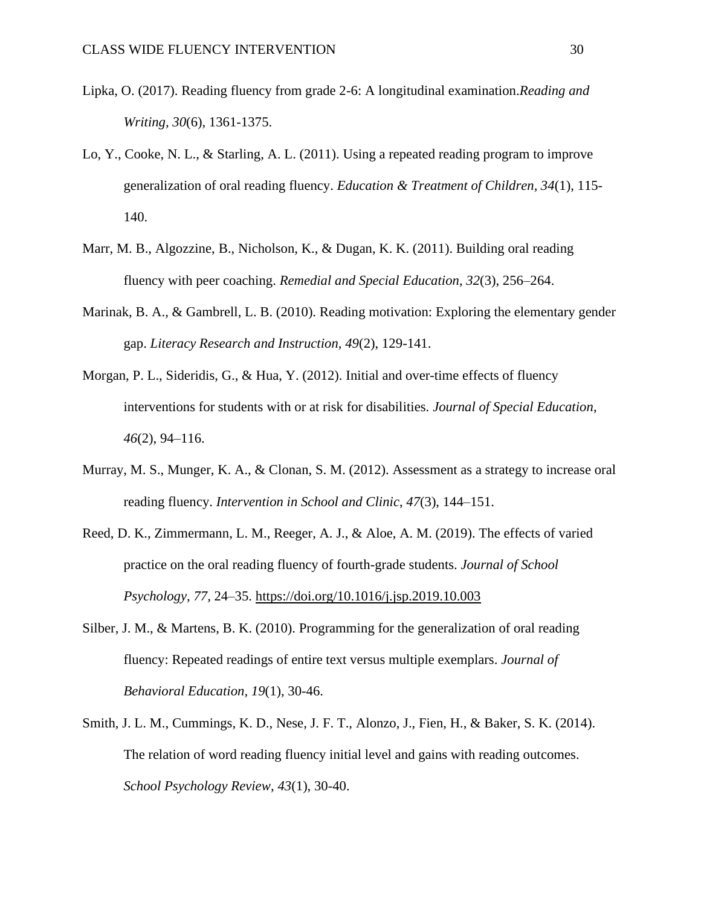- Lipka, O. (2017). Reading fluency from grade 2-6: A longitudinal examination.*Reading and Writing, 30*(6), 1361-1375.
- Lo, Y., Cooke, N. L., & Starling, A. L. (2011). Using a repeated reading program to improve generalization of oral reading fluency. *Education & Treatment of Children, 34*(1), 115- 140.
- Marr, M. B., Algozzine, B., Nicholson, K., & Dugan, K. K. (2011). Building oral reading fluency with peer coaching. *Remedial and Special Education*, *32*(3), 256–264.
- Marinak, B. A., & Gambrell, L. B. (2010). Reading motivation: Exploring the elementary gender gap. *Literacy Research and Instruction, 49*(2), 129-141.
- Morgan, P. L., Sideridis, G., & Hua, Y. (2012). Initial and over-time effects of fluency interventions for students with or at risk for disabilities. *Journal of Special Education*, *46*(2), 94–116.
- Murray, M. S., Munger, K. A., & Clonan, S. M. (2012). Assessment as a strategy to increase oral reading fluency. *Intervention in School and Clinic*, *47*(3), 144–151.
- Reed, D. K., Zimmermann, L. M., Reeger, A. J., & Aloe, A. M. (2019). The effects of varied practice on the oral reading fluency of fourth-grade students. *Journal of School Psychology, 77,* 24–35. [https://doi.org/10.1016/j.jsp.2019.10.003](https://psycnet.apa.org/doi/10.1016/j.jsp.2019.10.003)
- Silber, J. M., & Martens, B. K. (2010). Programming for the generalization of oral reading fluency: Repeated readings of entire text versus multiple exemplars. *Journal of Behavioral Education, 19*(1), 30-46.
- Smith, J. L. M., Cummings, K. D., Nese, J. F. T., Alonzo, J., Fien, H., & Baker, S. K. (2014). The relation of word reading fluency initial level and gains with reading outcomes. *School Psychology Review, 43*(1), 30-40.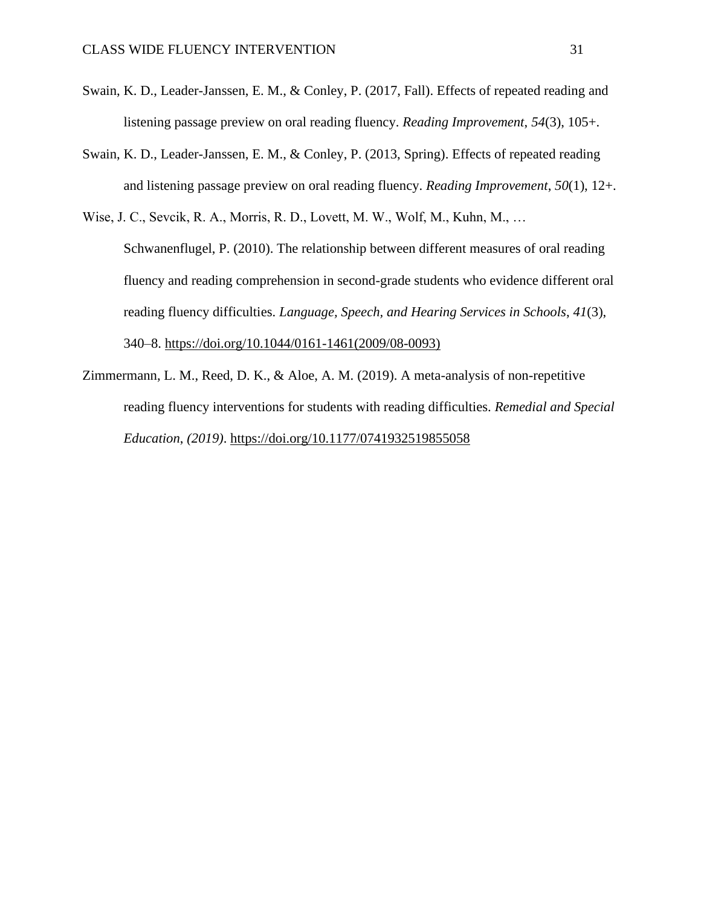- Swain, K. D., Leader-Janssen, E. M., & Conley, P. (2017, Fall). Effects of repeated reading and listening passage preview on oral reading fluency. *Reading Improvement*, *54*(3), 105+.
- Swain, K. D., Leader-Janssen, E. M., & Conley, P. (2013, Spring). Effects of repeated reading and listening passage preview on oral reading fluency. *Reading Improvement*, *50*(1), 12+.
- Wise, J. C., Sevcik, R. A., Morris, R. D., Lovett, M. W., Wolf, M., Kuhn, M., … Schwanenflugel, P. (2010). The relationship between different measures of oral reading fluency and reading comprehension in second-grade students who evidence different oral reading fluency difficulties. *Language, Speech, and Hearing Services in Schools*, *41*(3), 340–8[.](https://doi.org/10.1044/0161-1461(2009/08-0093)) [https://doi.org/10.1044/0161-1461\(2009/08-0093\)](https://doi.org/10.1044/0161-1461(2009/08-0093))
- Zimmermann, L. M., Reed, D. K., & Aloe, A. M. (2019). A meta-analysis of non-repetitive reading fluency interventions for students with reading difficulties. *Remedial and Special Education*, *(2019)*. <https://doi.org/10.1177/0741932519855058>